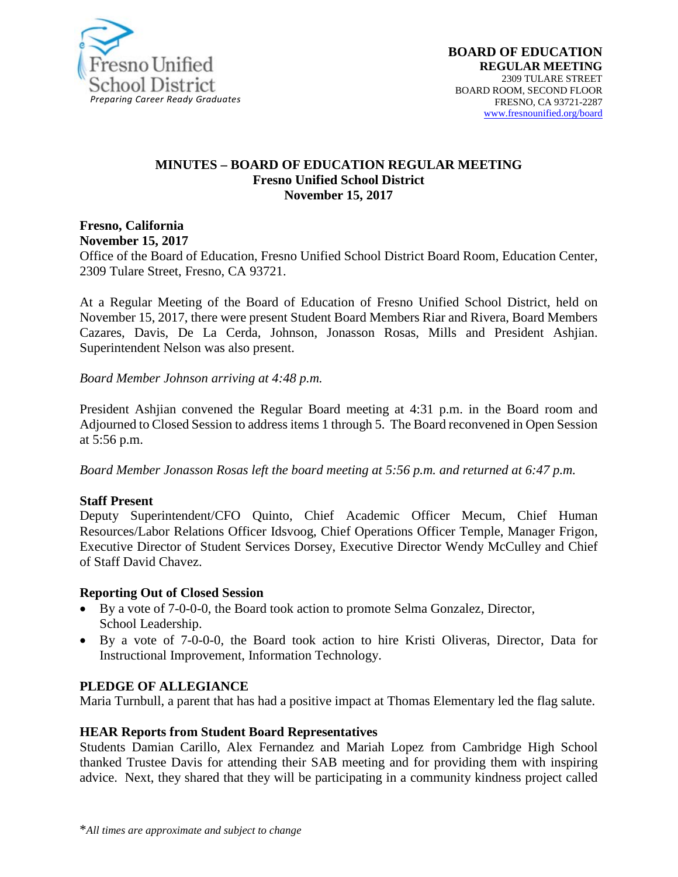

#### **MINUTES – BOARD OF EDUCATION REGULAR MEETING Fresno Unified School District November 15, 2017**

**Fresno, California November 15, 2017** 

Office of the Board of Education, Fresno Unified School District Board Room, Education Center, 2309 Tulare Street, Fresno, CA 93721.

At a Regular Meeting of the Board of Education of Fresno Unified School District, held on November 15, 2017, there were present Student Board Members Riar and Rivera, Board Members Cazares, Davis, De La Cerda, Johnson, Jonasson Rosas, Mills and President Ashjian. Superintendent Nelson was also present.

*Board Member Johnson arriving at 4:48 p.m.*

President Ashjian convened the Regular Board meeting at 4:31 p.m. in the Board room and Adjourned to Closed Session to address items 1 through 5. The Board reconvened in Open Session at 5:56 p.m.

*Board Member Jonasson Rosas left the board meeting at 5:56 p.m. and returned at 6:47 p.m.*

#### **Staff Present**

Deputy Superintendent/CFO Quinto, Chief Academic Officer Mecum, Chief Human Resources/Labor Relations Officer Idsvoog, Chief Operations Officer Temple, Manager Frigon, Executive Director of Student Services Dorsey, Executive Director Wendy McCulley and Chief of Staff David Chavez.

#### **Reporting Out of Closed Session**

- By a vote of 7-0-0-0, the Board took action to promote Selma Gonzalez, Director, School Leadership.
- By a vote of 7-0-0-0, the Board took action to hire Kristi Oliveras, Director, Data for Instructional Improvement, Information Technology.

#### **PLEDGE OF ALLEGIANCE**

Maria Turnbull, a parent that has had a positive impact at Thomas Elementary led the flag salute.

#### **HEAR Reports from Student Board Representatives**

Students Damian Carillo, Alex Fernandez and Mariah Lopez from Cambridge High School thanked Trustee Davis for attending their SAB meeting and for providing them with inspiring advice. Next, they shared that they will be participating in a community kindness project called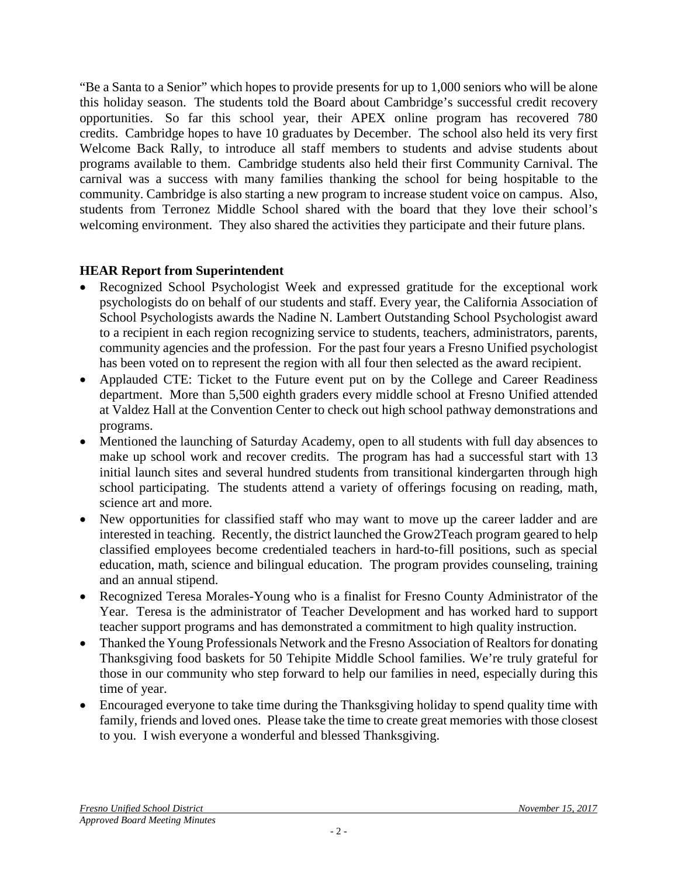"Be a Santa to a Senior" which hopes to provide presents for up to 1,000 seniors who will be alone this holiday season. The students told the Board about Cambridge's successful credit recovery opportunities. So far this school year, their APEX online program has recovered 780 credits. Cambridge hopes to have 10 graduates by December. The school also held its very first Welcome Back Rally, to introduce all staff members to students and advise students about programs available to them. Cambridge students also held their first Community Carnival. The carnival was a success with many families thanking the school for being hospitable to the community. Cambridge is also starting a new program to increase student voice on campus. Also, students from Terronez Middle School shared with the board that they love their school's welcoming environment. They also shared the activities they participate and their future plans.

# **HEAR Report from Superintendent**

- Recognized School Psychologist Week and expressed gratitude for the exceptional work psychologists do on behalf of our students and staff. Every year, the California Association of School Psychologists awards the Nadine N. Lambert Outstanding School Psychologist award to a recipient in each region recognizing service to students, teachers, administrators, parents, community agencies and the profession. For the past four years a Fresno Unified psychologist has been voted on to represent the region with all four then selected as the award recipient.
- Applauded CTE: Ticket to the Future event put on by the College and Career Readiness department. More than 5,500 eighth graders every middle school at Fresno Unified attended at Valdez Hall at the Convention Center to check out high school pathway demonstrations and programs.
- Mentioned the launching of Saturday Academy, open to all students with full day absences to make up school work and recover credits. The program has had a successful start with 13 initial launch sites and several hundred students from transitional kindergarten through high school participating. The students attend a variety of offerings focusing on reading, math, science art and more.
- New opportunities for classified staff who may want to move up the career ladder and are interested in teaching. Recently, the district launched the Grow2Teach program geared to help classified employees become credentialed teachers in hard-to-fill positions, such as special education, math, science and bilingual education. The program provides counseling, training and an annual stipend.
- Recognized Teresa Morales-Young who is a finalist for Fresno County Administrator of the Year. Teresa is the administrator of Teacher Development and has worked hard to support teacher support programs and has demonstrated a commitment to high quality instruction.
- Thanked the Young Professionals Network and the Fresno Association of Realtors for donating Thanksgiving food baskets for 50 Tehipite Middle School families. We're truly grateful for those in our community who step forward to help our families in need, especially during this time of year.
- Encouraged everyone to take time during the Thanksgiving holiday to spend quality time with family, friends and loved ones. Please take the time to create great memories with those closest to you. I wish everyone a wonderful and blessed Thanksgiving.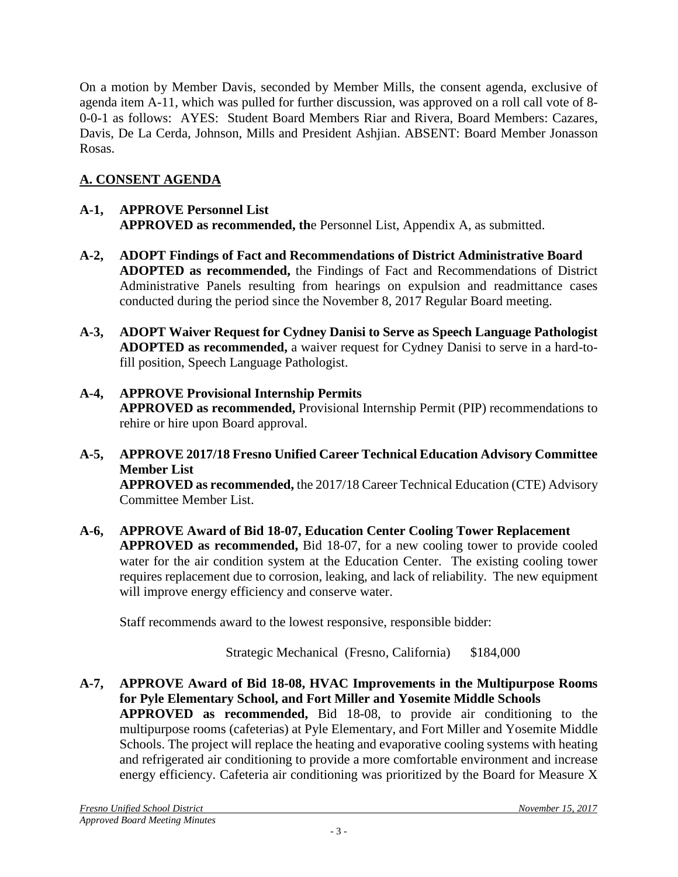On a motion by Member Davis, seconded by Member Mills, the consent agenda, exclusive of agenda item A-11, which was pulled for further discussion, was approved on a roll call vote of 8- 0-0-1 as follows: AYES: Student Board Members Riar and Rivera, Board Members: Cazares, Davis, De La Cerda, Johnson, Mills and President Ashjian. ABSENT: Board Member Jonasson Rosas.

# **A. CONSENT AGENDA**

# **A-1, APPROVE Personnel List APPROVED as recommended, th**e Personnel List, Appendix A, as submitted.

- **A-2, ADOPT Findings of Fact and Recommendations of District Administrative Board ADOPTED as recommended,** the Findings of Fact and Recommendations of District Administrative Panels resulting from hearings on expulsion and readmittance cases conducted during the period since the November 8, 2017 Regular Board meeting.
- **A-3, ADOPT Waiver Request for Cydney Danisi to Serve as Speech Language Pathologist ADOPTED as recommended,** a waiver request for Cydney Danisi to serve in a hard-tofill position, Speech Language Pathologist.
- **A-4, APPROVE Provisional Internship Permits APPROVED as recommended,** Provisional Internship Permit (PIP) recommendations to rehire or hire upon Board approval.
- **A-5, APPROVE 2017/18 Fresno Unified Career Technical Education Advisory Committee Member List APPROVED as recommended,** the 2017/18 Career Technical Education (CTE) Advisory Committee Member List.
- **A-6, APPROVE Award of Bid 18-07, Education Center Cooling Tower Replacement APPROVED as recommended,** Bid 18-07, for a new cooling tower to provide cooled water for the air condition system at the Education Center. The existing cooling tower requires replacement due to corrosion, leaking, and lack of reliability. The new equipment will improve energy efficiency and conserve water.

Staff recommends award to the lowest responsive, responsible bidder:

Strategic Mechanical (Fresno, California) \$184,000

**A-7, APPROVE Award of Bid 18-08, HVAC Improvements in the Multipurpose Rooms for Pyle Elementary School, and Fort Miller and Yosemite Middle Schools APPROVED as recommended,** Bid 18-08, to provide air conditioning to the multipurpose rooms (cafeterias) at Pyle Elementary, and Fort Miller and Yosemite Middle Schools. The project will replace the heating and evaporative cooling systems with heating and refrigerated air conditioning to provide a more comfortable environment and increase energy efficiency. Cafeteria air conditioning was prioritized by the Board for Measure X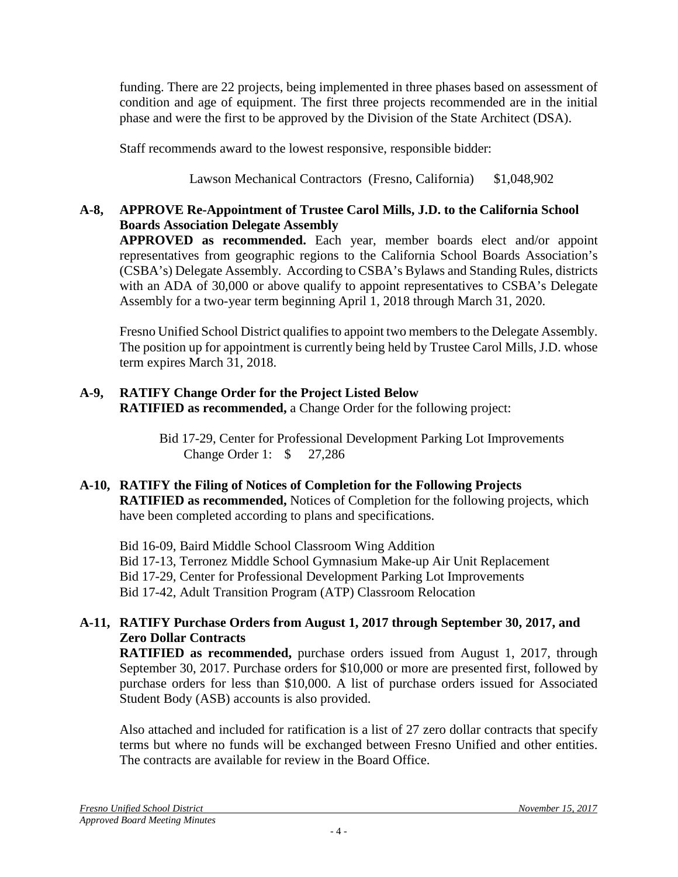funding. There are 22 projects, being implemented in three phases based on assessment of condition and age of equipment. The first three projects recommended are in the initial phase and were the first to be approved by the Division of the State Architect (DSA).

Staff recommends award to the lowest responsive, responsible bidder:

Lawson Mechanical Contractors (Fresno, California) \$1,048,902

#### **A-8, APPROVE Re-Appointment of Trustee Carol Mills, J.D. to the California School Boards Association Delegate Assembly**

**APPROVED as recommended.** Each year, member boards elect and/or appoint representatives from geographic regions to the California School Boards Association's (CSBA's) Delegate Assembly. According to CSBA's Bylaws and Standing Rules, districts with an ADA of 30,000 or above qualify to appoint representatives to CSBA's Delegate Assembly for a two-year term beginning April 1, 2018 through March 31, 2020.

Fresno Unified School District qualifies to appoint two members to the Delegate Assembly. The position up for appointment is currently being held by Trustee Carol Mills, J.D. whose term expires March 31, 2018.

### **A-9, RATIFY Change Order for the Project Listed Below RATIFIED as recommended,** a Change Order for the following project:

Bid 17-29, Center for Professional Development Parking Lot Improvements Change Order 1: \$ 27,286

#### **A-10, RATIFY the Filing of Notices of Completion for the Following Projects RATIFIED as recommended,** Notices of Completion for the following projects, which have been completed according to plans and specifications.

Bid 16-09, Baird Middle School Classroom Wing Addition Bid 17-13, Terronez Middle School Gymnasium Make-up Air Unit Replacement Bid 17-29, Center for Professional Development Parking Lot Improvements Bid 17-42, Adult Transition Program (ATP) Classroom Relocation

# **A-11, RATIFY Purchase Orders from August 1, 2017 through September 30, 2017, and Zero Dollar Contracts**

**RATIFIED as recommended,** purchase orders issued from August 1, 2017, through September 30, 2017. Purchase orders for \$10,000 or more are presented first, followed by purchase orders for less than \$10,000. A list of purchase orders issued for Associated Student Body (ASB) accounts is also provided.

Also attached and included for ratification is a list of 27 zero dollar contracts that specify terms but where no funds will be exchanged between Fresno Unified and other entities. The contracts are available for review in the Board Office.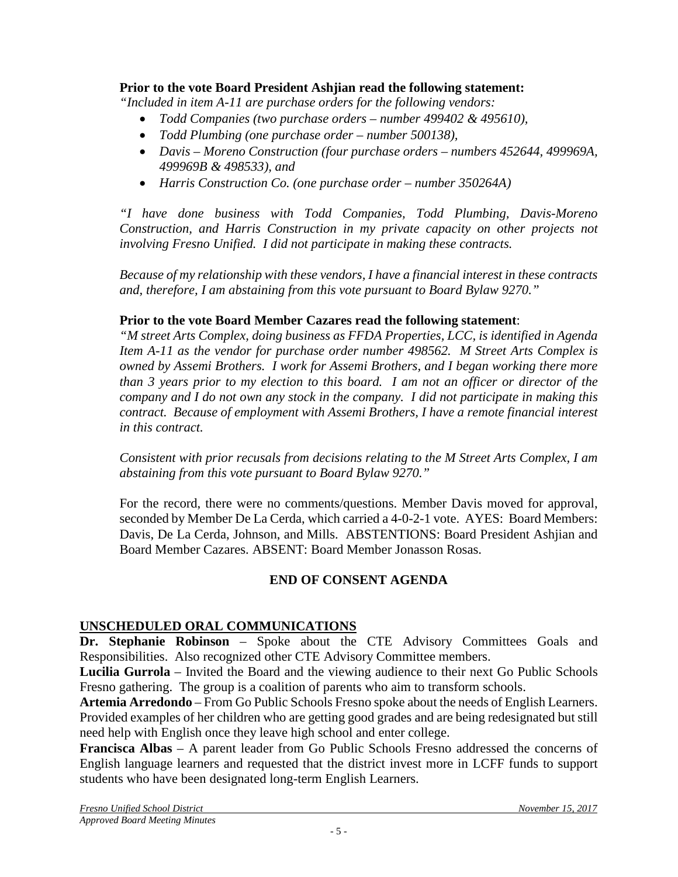## **Prior to the vote Board President Ashjian read the following statement:**

*"Included in item A-11 are purchase orders for the following vendors:*

- *Todd Companies (two purchase orders – number 499402 & 495610),*
- *Todd Plumbing (one purchase order – number 500138),*
- *Davis – Moreno Construction (four purchase orders – numbers 452644, 499969A, 499969B & 498533), and*
- *Harris Construction Co. (one purchase order – number 350264A)*

*"I have done business with Todd Companies, Todd Plumbing, Davis-Moreno Construction, and Harris Construction in my private capacity on other projects not involving Fresno Unified. I did not participate in making these contracts.*

*Because of my relationship with these vendors, I have a financial interest in these contracts and, therefore, I am abstaining from this vote pursuant to Board Bylaw 9270."*

### **Prior to the vote Board Member Cazares read the following statement**:

*"M street Arts Complex, doing business as FFDA Properties, LCC, is identified in Agenda Item A-11 as the vendor for purchase order number 498562. M Street Arts Complex is owned by Assemi Brothers. I work for Assemi Brothers, and I began working there more than 3 years prior to my election to this board. I am not an officer or director of the company and I do not own any stock in the company. I did not participate in making this contract. Because of employment with Assemi Brothers, I have a remote financial interest in this contract.*

*Consistent with prior recusals from decisions relating to the M Street Arts Complex, I am abstaining from this vote pursuant to Board Bylaw 9270."*

For the record, there were no comments/questions. Member Davis moved for approval, seconded by Member De La Cerda, which carried a 4-0-2-1 vote. AYES: Board Members: Davis, De La Cerda, Johnson, and Mills. ABSTENTIONS: Board President Ashjian and Board Member Cazares. ABSENT: Board Member Jonasson Rosas.

# **END OF CONSENT AGENDA**

# **UNSCHEDULED ORAL COMMUNICATIONS**

**Dr. Stephanie Robinson** – Spoke about the CTE Advisory Committees Goals and Responsibilities. Also recognized other CTE Advisory Committee members.

**Lucilia Gurrola** – Invited the Board and the viewing audience to their next Go Public Schools Fresno gathering. The group is a coalition of parents who aim to transform schools.

**Artemia Arredondo** – From Go Public Schools Fresno spoke about the needs of English Learners. Provided examples of her children who are getting good grades and are being redesignated but still need help with English once they leave high school and enter college.

**Francisca Albas** – A parent leader from Go Public Schools Fresno addressed the concerns of English language learners and requested that the district invest more in LCFF funds to support students who have been designated long-term English Learners.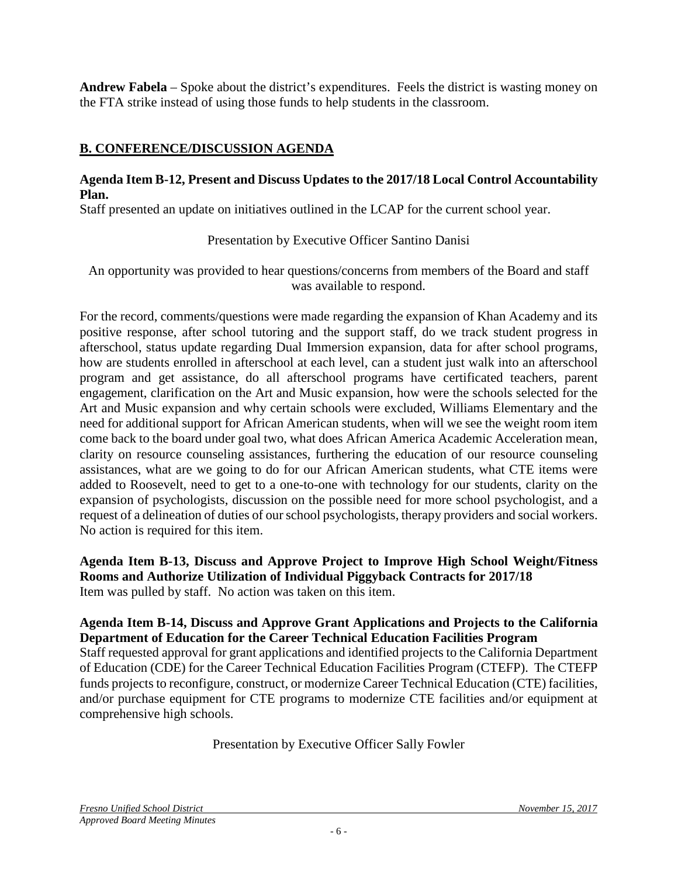**Andrew Fabela** – Spoke about the district's expenditures. Feels the district is wasting money on the FTA strike instead of using those funds to help students in the classroom.

# **B. CONFERENCE/DISCUSSION AGENDA**

### **Agenda Item B-12, Present and Discuss Updates to the 2017/18 Local Control Accountability Plan.**

Staff presented an update on initiatives outlined in the LCAP for the current school year.

Presentation by Executive Officer Santino Danisi

An opportunity was provided to hear questions/concerns from members of the Board and staff was available to respond.

For the record, comments/questions were made regarding the expansion of Khan Academy and its positive response, after school tutoring and the support staff, do we track student progress in afterschool, status update regarding Dual Immersion expansion, data for after school programs, how are students enrolled in afterschool at each level, can a student just walk into an afterschool program and get assistance, do all afterschool programs have certificated teachers, parent engagement, clarification on the Art and Music expansion, how were the schools selected for the Art and Music expansion and why certain schools were excluded, Williams Elementary and the need for additional support for African American students, when will we see the weight room item come back to the board under goal two, what does African America Academic Acceleration mean, clarity on resource counseling assistances, furthering the education of our resource counseling assistances, what are we going to do for our African American students, what CTE items were added to Roosevelt, need to get to a one-to-one with technology for our students, clarity on the expansion of psychologists, discussion on the possible need for more school psychologist, and a request of a delineation of duties of our school psychologists, therapy providers and social workers. No action is required for this item.

**Agenda Item B-13, Discuss and Approve Project to Improve High School Weight/Fitness Rooms and Authorize Utilization of Individual Piggyback Contracts for 2017/18** Item was pulled by staff. No action was taken on this item.

#### **Agenda Item B-14, Discuss and Approve Grant Applications and Projects to the California Department of Education for the Career Technical Education Facilities Program**

Staff requested approval for grant applications and identified projects to the California Department of Education (CDE) for the Career Technical Education Facilities Program (CTEFP). The CTEFP funds projects to reconfigure, construct, or modernize Career Technical Education (CTE) facilities, and/or purchase equipment for CTE programs to modernize CTE facilities and/or equipment at comprehensive high schools.

Presentation by Executive Officer Sally Fowler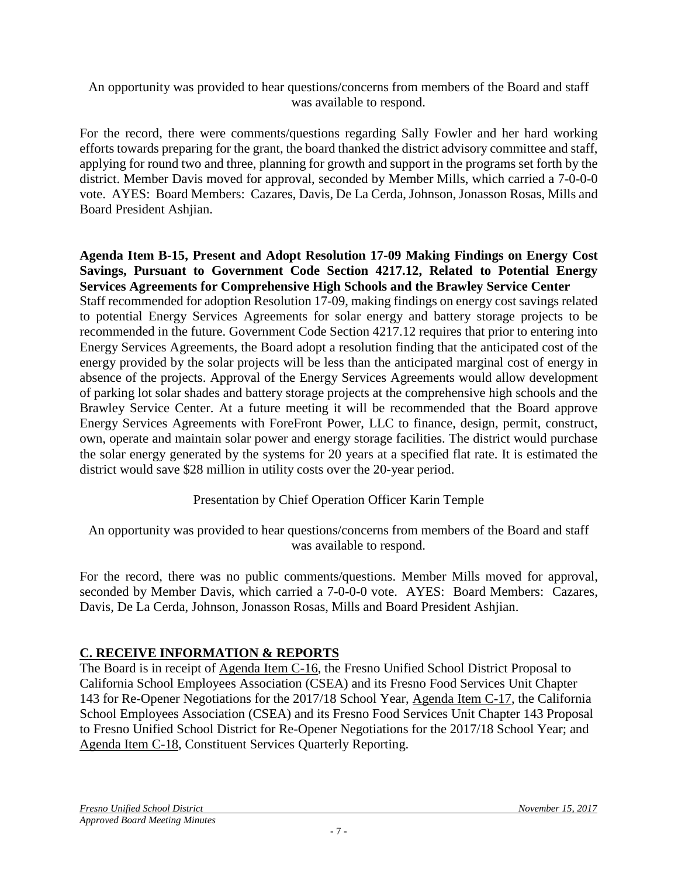An opportunity was provided to hear questions/concerns from members of the Board and staff was available to respond.

For the record, there were comments/questions regarding Sally Fowler and her hard working efforts towards preparing for the grant, the board thanked the district advisory committee and staff, applying for round two and three, planning for growth and support in the programs set forth by the district. Member Davis moved for approval, seconded by Member Mills, which carried a 7-0-0-0 vote. AYES: Board Members: Cazares, Davis, De La Cerda, Johnson, Jonasson Rosas, Mills and Board President Ashjian.

**Agenda Item B-15, Present and Adopt Resolution 17-09 Making Findings on Energy Cost Savings, Pursuant to Government Code Section 4217.12, Related to Potential Energy Services Agreements for Comprehensive High Schools and the Brawley Service Center** Staff recommended for adoption Resolution 17-09, making findings on energy cost savings related to potential Energy Services Agreements for solar energy and battery storage projects to be recommended in the future. Government Code Section 4217.12 requires that prior to entering into Energy Services Agreements, the Board adopt a resolution finding that the anticipated cost of the energy provided by the solar projects will be less than the anticipated marginal cost of energy in absence of the projects. Approval of the Energy Services Agreements would allow development of parking lot solar shades and battery storage projects at the comprehensive high schools and the Brawley Service Center. At a future meeting it will be recommended that the Board approve Energy Services Agreements with ForeFront Power, LLC to finance, design, permit, construct, own, operate and maintain solar power and energy storage facilities. The district would purchase the solar energy generated by the systems for 20 years at a specified flat rate. It is estimated the district would save \$28 million in utility costs over the 20-year period.

Presentation by Chief Operation Officer Karin Temple

An opportunity was provided to hear questions/concerns from members of the Board and staff was available to respond.

For the record, there was no public comments/questions. Member Mills moved for approval, seconded by Member Davis, which carried a 7-0-0-0 vote. AYES: Board Members: Cazares, Davis, De La Cerda, Johnson, Jonasson Rosas, Mills and Board President Ashjian.

# **C. RECEIVE INFORMATION & REPORTS**

The Board is in receipt of Agenda Item C-16, the Fresno Unified School District Proposal to California School Employees Association (CSEA) and its Fresno Food Services Unit Chapter 143 for Re-Opener Negotiations for the 2017/18 School Year, Agenda Item C-17, the California School Employees Association (CSEA) and its Fresno Food Services Unit Chapter 143 Proposal to Fresno Unified School District for Re-Opener Negotiations for the 2017/18 School Year; and Agenda Item C-18, Constituent Services Quarterly Reporting.